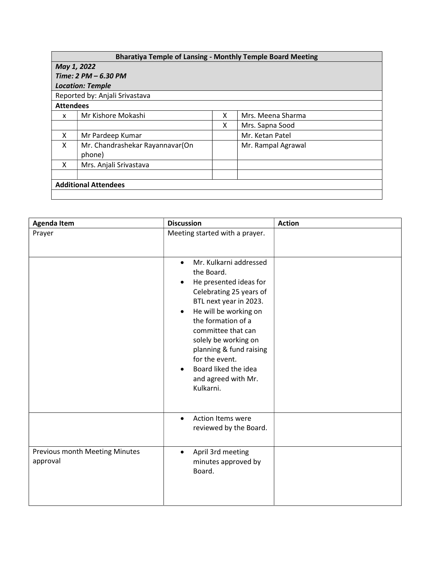## Bharatiya Temple of Lansing - Monthly Temple Board Meeting

| May 1, 2022                    |                                           |   |                    |  |  |  |
|--------------------------------|-------------------------------------------|---|--------------------|--|--|--|
| Time: $2 PM - 6.30 PM$         |                                           |   |                    |  |  |  |
| <b>Location: Temple</b>        |                                           |   |                    |  |  |  |
| Reported by: Anjali Srivastava |                                           |   |                    |  |  |  |
| <b>Attendees</b>               |                                           |   |                    |  |  |  |
| x                              | Mr Kishore Mokashi                        | x | Mrs. Meena Sharma  |  |  |  |
|                                |                                           | x | Mrs. Sapna Sood    |  |  |  |
| X                              | Mr Pardeep Kumar                          |   | Mr. Ketan Patel    |  |  |  |
| X                              | Mr. Chandrashekar Rayannavar(On<br>phone) |   | Mr. Rampal Agrawal |  |  |  |
| X                              | Mrs. Anjali Srivastava                    |   |                    |  |  |  |
|                                |                                           |   |                    |  |  |  |
| <b>Additional Attendees</b>    |                                           |   |                    |  |  |  |
|                                |                                           |   |                    |  |  |  |

| <b>Agenda Item</b>                         | <b>Discussion</b>                                                                                                                                                                                               | <b>Action</b> |
|--------------------------------------------|-----------------------------------------------------------------------------------------------------------------------------------------------------------------------------------------------------------------|---------------|
| Prayer                                     | Meeting started with a prayer.<br>Mr. Kulkarni addressed<br>$\bullet$<br>the Board.<br>He presented ideas for<br>$\bullet$<br>Celebrating 25 years of<br>BTL next year in 2023.                                 |               |
|                                            | He will be working on<br>$\bullet$<br>the formation of a<br>committee that can<br>solely be working on<br>planning & fund raising<br>for the event.<br>Board liked the idea<br>and agreed with Mr.<br>Kulkarni. |               |
|                                            | Action Items were<br>$\bullet$<br>reviewed by the Board.                                                                                                                                                        |               |
| Previous month Meeting Minutes<br>approval | April 3rd meeting<br>$\bullet$<br>minutes approved by<br>Board.                                                                                                                                                 |               |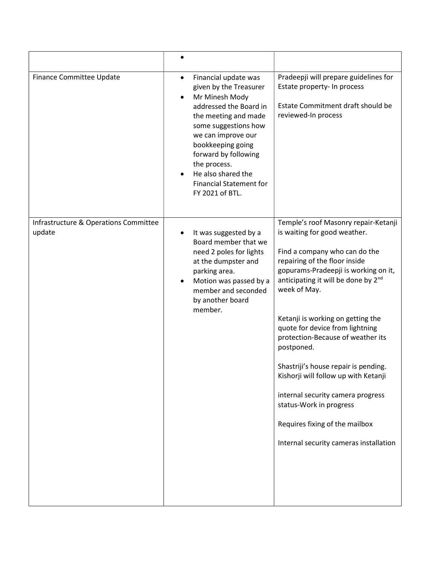| Finance Committee Update                        | Financial update was<br>$\bullet$<br>given by the Treasurer<br>Mr Minesh Mody<br>addressed the Board in<br>the meeting and made<br>some suggestions how<br>we can improve our<br>bookkeeping going<br>forward by following<br>the process.<br>He also shared the<br><b>Financial Statement for</b><br>FY 2021 of BTL. | Pradeepji will prepare guidelines for<br>Estate property- In process<br>Estate Commitment draft should be<br>reviewed-In process                                                                                                                                                                                                                                                                                                                                                                                                                                                             |
|-------------------------------------------------|-----------------------------------------------------------------------------------------------------------------------------------------------------------------------------------------------------------------------------------------------------------------------------------------------------------------------|----------------------------------------------------------------------------------------------------------------------------------------------------------------------------------------------------------------------------------------------------------------------------------------------------------------------------------------------------------------------------------------------------------------------------------------------------------------------------------------------------------------------------------------------------------------------------------------------|
| Infrastructure & Operations Committee<br>update | It was suggested by a<br>Board member that we<br>need 2 poles for lights<br>at the dumpster and<br>parking area.<br>Motion was passed by a<br>member and seconded<br>by another board<br>member.                                                                                                                      | Temple's roof Masonry repair-Ketanji<br>is waiting for good weather.<br>Find a company who can do the<br>repairing of the floor inside<br>gopurams-Pradeepji is working on it,<br>anticipating it will be done by 2nd<br>week of May.<br>Ketanji is working on getting the<br>quote for device from lightning<br>protection-Because of weather its<br>postponed.<br>Shastriji's house repair is pending.<br>Kishorji will follow up with Ketanji<br>internal security camera progress<br>status-Work in progress<br>Requires fixing of the mailbox<br>Internal security cameras installation |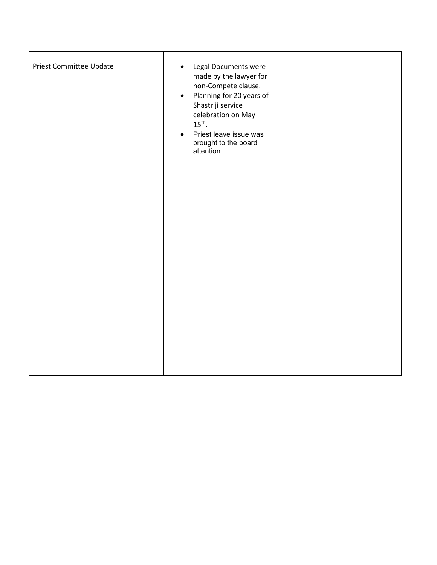| Priest Committee Update | Legal Documents were<br>$\bullet$<br>made by the lawyer for<br>non-Compete clause.<br>Planning for 20 years of<br>$\bullet$<br>Shastriji service<br>celebration on May<br>$15^{\text{th}}$ .<br>Priest leave issue was<br>$\bullet$<br>brought to the board<br>attention |  |
|-------------------------|--------------------------------------------------------------------------------------------------------------------------------------------------------------------------------------------------------------------------------------------------------------------------|--|
|                         |                                                                                                                                                                                                                                                                          |  |